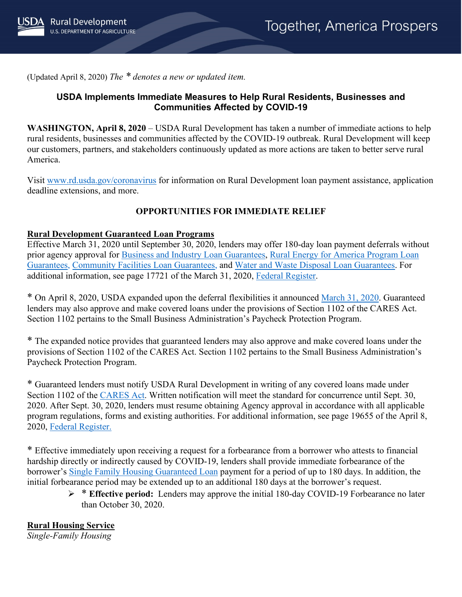

(Updated April 8, 2020) *The \* denotes a new or updated item.*

## **USDA Implements Immediate Measures to Help Rural Residents, Businesses and Communities Affected by COVID-19**

**WASHINGTON, April 8, 2020** – USDA Rural Development has taken a number of immediate actions to help rural residents, businesses and communities affected by the COVID-19 outbreak. Rural Development will keep our customers, partners, and stakeholders continuously updated as more actions are taken to better serve rural America.

Visit [www.rd.usda.gov/coronavirus](https://www.rd.usda.gov/coronavirus) for information on Rural Development loan payment assistance, application deadline extensions, and more.

## **OPPORTUNITIES FOR IMMEDIATE RELIEF**

#### **Rural Development Guaranteed Loan Programs**

Effective March 31, 2020 until September 30, 2020, lenders may offer 180-day loan payment deferrals without prior agency approval for [Business and Industry Loan Guarantees,](https://www.rd.usda.gov/programs-services/business-industry-loan-guarantees) Rural Energy for America Program Loan [Guarantees,](https://www.rd.usda.gov/programs-services/rural-energy-america-program-renewable-energy-systems-energy-efficiency) [Community Facilities Loan Guarantees,](https://www.rd.usda.gov/programs-services/community-facilities-direct-loan-grant-program) and [Water and Waste Disposal Loan Guarantees.](https://www.rd.usda.gov/programs-services/water-waste-disposal-loan-guarantees) For additional information, see page 17721 of the March 31, 2020, [Federal Register.](https://www.govinfo.gov/content/pkg/FR-2020-03-31/pdf/2020-06706.pdf)

\* On April 8, 2020, USDA expanded upon the deferral flexibilities it announced [March 31, 2020.](https://www.rd.usda.gov/sites/default/files/USDA_RD_SA_COVID19_Guarantee_Loan_Deferral_Payments03312020.pdf) Guaranteed lenders may also approve and make covered loans under the provisions of Section 1102 of the CARES Act. Section 1102 pertains to the Small Business Administration's Paycheck Protection Program.

\* The expanded notice provides that guaranteed lenders may also approve and make covered loans under the provisions of Section 1102 of the CARES Act. Section 1102 pertains to the Small Business Administration's Paycheck Protection Program.

\* Guaranteed lenders must notify USDA Rural Development in writing of any covered loans made under Section 1102 of the [CARES Act.](https://www.congress.gov/bill/116th-congress/senate-bill/3548/text) Written notification will meet the standard for concurrence until Sept. 30, 2020. After Sept. 30, 2020, lenders must resume obtaining Agency approval in accordance with all applicable program regulations, forms and existing authorities. For additional information, see page 19655 of the April 8, 2020, [Federal Register.](https://www.govinfo.gov/content/pkg/FR-2020-04-08/pdf/2020-07487.pdf)

\* Effective immediately upon receiving a request for a forbearance from a borrower who attests to financial hardship directly or indirectly caused by COVID-19, lenders shall provide immediate forbearance of the borrower's [Single Family Housing Guaranteed Loan](https://www.rd.usda.gov/programs-services/single-family-housing-guaranteed-loan-program) payment for a period of up to 180 days. In addition, the initial forbearance period may be extended up to an additional 180 days at the borrower's request.

> \* **Effective period:** Lenders may approve the initial 180-day COVID-19 Forbearance no later than October 30, 2020.

**Rural Housing Service**

*Single-Family Housing*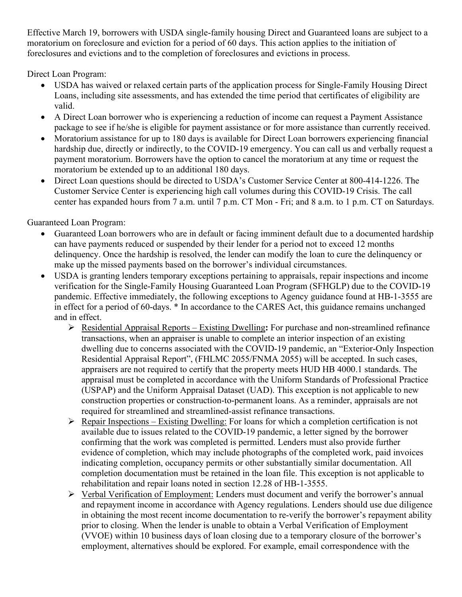Effective March 19, borrowers with USDA single-family housing Direct and Guaranteed loans are subject to a moratorium on foreclosure and eviction for a period of 60 days. This action applies to the initiation of foreclosures and evictions and to the completion of foreclosures and evictions in process.

Direct Loan Program:

- USDA has waived or relaxed certain parts of the application process for Single-Family Housing Direct Loans, including site assessments, and has extended the time period that certificates of eligibility are valid.
- A Direct Loan borrower who is experiencing a reduction of income can request a Payment Assistance package to see if he/she is eligible for payment assistance or for more assistance than currently received.
- Moratorium assistance for up to 180 days is available for Direct Loan borrowers experiencing financial hardship due, directly or indirectly, to the COVID-19 emergency. You can call us and verbally request a payment moratorium. Borrowers have the option to cancel the moratorium at any time or request the moratorium be extended up to an additional 180 days.
- Direct Loan questions should be directed to USDA's Customer Service Center at 800-414-1226. The Customer Service Center is experiencing high call volumes during this COVID-19 Crisis. The call center has expanded hours from 7 a.m. until 7 p.m. CT Mon - Fri; and 8 a.m. to 1 p.m. CT on Saturdays.

Guaranteed Loan Program:

- Guaranteed Loan borrowers who are in default or facing imminent default due to a documented hardship can have payments reduced or suspended by their lender for a period not to exceed 12 months delinquency. Once the hardship is resolved, the lender can modify the loan to cure the delinquency or make up the missed payments based on the borrower's individual circumstances.
- USDA is granting lenders temporary exceptions pertaining to appraisals, repair inspections and income verification for the Single-Family Housing Guaranteed Loan Program (SFHGLP) due to the COVID-19 pandemic. Effective immediately, the following exceptions to Agency guidance found at HB-1-3555 are in effect for a period of 60-days. \* In accordance to the CARES Act, this guidance remains unchanged and in effect.
	- Residential Appraisal Reports Existing Dwelling**:** For purchase and non-streamlined refinance transactions, when an appraiser is unable to complete an interior inspection of an existing dwelling due to concerns associated with the COVID-19 pandemic, an "Exterior-Only Inspection Residential Appraisal Report", (FHLMC 2055/FNMA 2055) will be accepted. In such cases, appraisers are not required to certify that the property meets HUD HB 4000.1 standards. The appraisal must be completed in accordance with the Uniform Standards of Professional Practice (USPAP) and the Uniform Appraisal Dataset (UAD). This exception is not applicable to new construction properties or construction-to-permanent loans. As a reminder, appraisals are not required for streamlined and streamlined-assist refinance transactions.
	- $\triangleright$  Repair Inspections Existing Dwelling: For loans for which a completion certification is not available due to issues related to the COVID-19 pandemic, a letter signed by the borrower confirming that the work was completed is permitted. Lenders must also provide further evidence of completion, which may include photographs of the completed work, paid invoices indicating completion, occupancy permits or other substantially similar documentation. All completion documentation must be retained in the loan file. This exception is not applicable to rehabilitation and repair loans noted in section 12.28 of HB-1-3555.
	- Verbal Verification of Employment: Lenders must document and verify the borrower's annual and repayment income in accordance with Agency regulations. Lenders should use due diligence in obtaining the most recent income documentation to re-verify the borrower's repayment ability prior to closing. When the lender is unable to obtain a Verbal Verification of Employment (VVOE) within 10 business days of loan closing due to a temporary closure of the borrower's employment, alternatives should be explored. For example, email correspondence with the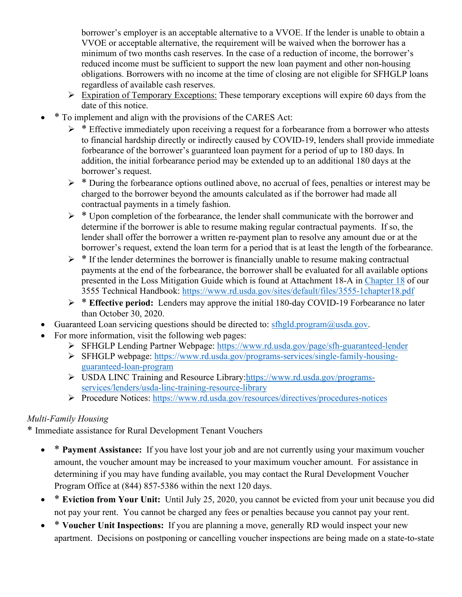borrower's employer is an acceptable alternative to a VVOE. If the lender is unable to obtain a VVOE or acceptable alternative, the requirement will be waived when the borrower has a minimum of two months cash reserves. In the case of a reduction of income, the borrower's reduced income must be sufficient to support the new loan payment and other non-housing obligations. Borrowers with no income at the time of closing are not eligible for SFHGLP loans regardless of available cash reserves.

- $\triangleright$  Expiration of Temporary Exceptions: These temporary exceptions will expire 60 days from the date of this notice.
- \* To implement and align with the provisions of the CARES Act:
	- $\triangleright$  \* Effective immediately upon receiving a request for a forbearance from a borrower who attests to financial hardship directly or indirectly caused by COVID-19, lenders shall provide immediate forbearance of the borrower's guaranteed loan payment for a period of up to 180 days. In addition, the initial forbearance period may be extended up to an additional 180 days at the borrower's request.
	- $\triangleright$  \* During the forbearance options outlined above, no accrual of fees, penalties or interest may be charged to the borrower beyond the amounts calculated as if the borrower had made all contractual payments in a timely fashion.
	- $\triangleright$  \* Upon completion of the forbearance, the lender shall communicate with the borrower and determine if the borrower is able to resume making regular contractual payments. If so, the lender shall offer the borrower a written re-payment plan to resolve any amount due or at the borrower's request, extend the loan term for a period that is at least the length of the forbearance.
	- $\triangleright$  \* If the lender determines the borrower is financially unable to resume making contractual payments at the end of the forbearance, the borrower shall be evaluated for all available options presented in the Loss Mitigation Guide which is found at Attachment 18-A in Chapter 18 of our 3555 Technical Handbook:<https://www.rd.usda.gov/sites/default/files/3555-1chapter18.pdf>
	- \* **Effective period:** Lenders may approve the initial 180-day COVID-19 Forbearance no later than October 30, 2020.
- Guaranteed Loan servicing questions should be directed to:  $sfhgld,program@usda.gov$ .
- For more information, visit the following web pages:
	- SFHGLP Lending Partner Webpage:<https://www.rd.usda.gov/page/sfh-guaranteed-lender>
	- SFHGLP webpage: [https://www.rd.usda.gov/programs-services/single-family-housing](https://www.rd.usda.gov/programs-services/single-family-housing-guaranteed-loan-program)[guaranteed-loan-program](https://www.rd.usda.gov/programs-services/single-family-housing-guaranteed-loan-program)
	- USDA LINC Training and Resource Library[:https://www.rd.usda.gov/programs](https://www.rd.usda.gov/programs-services/lenders/usda-linc-training-resource-library)[services/lenders/usda-linc-training-resource-library](https://www.rd.usda.gov/programs-services/lenders/usda-linc-training-resource-library)
	- Procedure Notices:<https://www.rd.usda.gov/resources/directives/procedures-notices>

# *Multi-Family Housing*

\* Immediate assistance for Rural Development Tenant Vouchers

- \* **Payment Assistance:** If you have lost your job and are not currently using your maximum voucher amount, the voucher amount may be increased to your maximum voucher amount. For assistance in determining if you may have funding available, you may contact the Rural Development Voucher Program Office at (844) 857-5386 within the next 120 days.
- \* **Eviction from Your Unit:** Until July 25, 2020, you cannot be evicted from your unit because you did not pay your rent. You cannot be charged any fees or penalties because you cannot pay your rent.
- \* **Voucher Unit Inspections:** If you are planning a move, generally RD would inspect your new apartment. Decisions on postponing or cancelling voucher inspections are being made on a state-to-state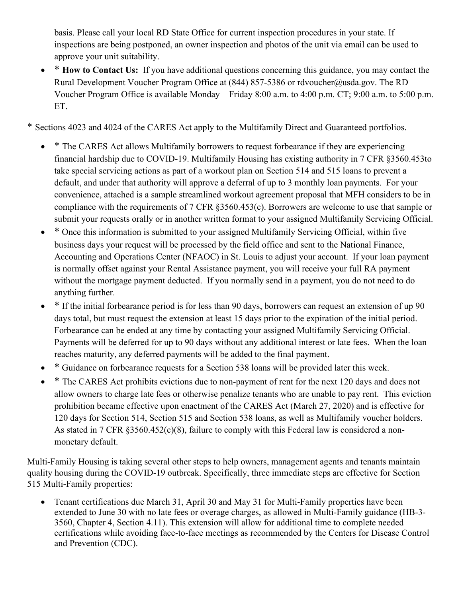basis. Please call your local RD State Office for current inspection procedures in your state. If inspections are being postponed, an owner inspection and photos of the unit via email can be used to approve your unit suitability.

- \* **How to Contact Us:** If you have additional questions concerning this guidance, you may contact the Rural Development Voucher Program Office at (844) 857-5386 or rdvoucher@usda.gov. The RD Voucher Program Office is available Monday – Friday 8:00 a.m. to 4:00 p.m. CT; 9:00 a.m. to 5:00 p.m. ET.
- \* Sections 4023 and 4024 of the CARES Act apply to the Multifamily Direct and Guaranteed portfolios.
	- \* The CARES Act allows Multifamily borrowers to request forbearance if they are experiencing financial hardship due to COVID-19. Multifamily Housing has existing authority in 7 CFR §3560.453to take special servicing actions as part of a workout plan on Section 514 and 515 loans to prevent a default, and under that authority will approve a deferral of up to 3 monthly loan payments. For your convenience, attached is a sample streamlined workout agreement proposal that MFH considers to be in compliance with the requirements of 7 CFR §3560.453(c). Borrowers are welcome to use that sample or submit your requests orally or in another written format to your assigned Multifamily Servicing Official.
	- \* Once this information is submitted to your assigned Multifamily Servicing Official, within five business days your request will be processed by the field office and sent to the National Finance, Accounting and Operations Center (NFAOC) in St. Louis to adjust your account. If your loan payment is normally offset against your Rental Assistance payment, you will receive your full RA payment without the mortgage payment deducted. If you normally send in a payment, you do not need to do anything further.
	- \* If the initial forbearance period is for less than 90 days, borrowers can request an extension of up 90 days total, but must request the extension at least 15 days prior to the expiration of the initial period. Forbearance can be ended at any time by contacting your assigned Multifamily Servicing Official. Payments will be deferred for up to 90 days without any additional interest or late fees. When the loan reaches maturity, any deferred payments will be added to the final payment.
	- \* Guidance on forbearance requests for a Section 538 loans will be provided later this week.
	- \* The CARES Act prohibits evictions due to non-payment of rent for the next 120 days and does not allow owners to charge late fees or otherwise penalize tenants who are unable to pay rent. This eviction prohibition became effective upon enactment of the CARES Act (March 27, 2020) and is effective for 120 days for Section 514, Section 515 and Section 538 loans, as well as Multifamily voucher holders. As stated in 7 CFR §3560.452(c)(8), failure to comply with this Federal law is considered a nonmonetary default.

Multi-Family Housing is taking several other steps to help owners, management agents and tenants maintain quality housing during the COVID-19 outbreak. Specifically, three immediate steps are effective for Section 515 Multi-Family properties:

• Tenant certifications due March 31, April 30 and May 31 for Multi-Family properties have been extended to June 30 with no late fees or overage charges, as allowed in Multi-Family guidance (HB-3- 3560, Chapter 4, Section 4.11). This extension will allow for additional time to complete needed certifications while avoiding face-to-face meetings as recommended by the Centers for Disease Control and Prevention (CDC).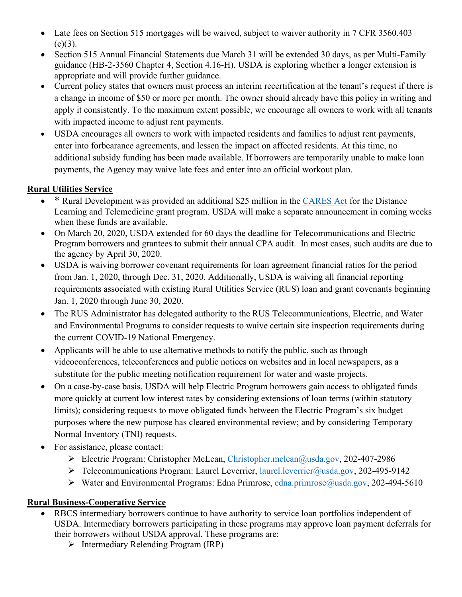- Late fees on Section 515 mortgages will be waived, subject to waiver authority in 7 CFR 3560.403  $(c)(3)$ .
- Section 515 Annual Financial Statements due March 31 will be extended 30 days, as per Multi-Family guidance (HB-2-3560 Chapter 4, Section 4.16-H). USDA is exploring whether a longer extension is appropriate and will provide further guidance.
- Current policy states that owners must process an interim recertification at the tenant's request if there is a change in income of \$50 or more per month. The owner should already have this policy in writing and apply it consistently. To the maximum extent possible, we encourage all owners to work with all tenants with impacted income to adjust rent payments.
- USDA encourages all owners to work with impacted residents and families to adjust rent payments, enter into forbearance agreements, and lessen the impact on affected residents. At this time, no additional subsidy funding has been made available. If borrowers are temporarily unable to make loan payments, the Agency may waive late fees and enter into an official workout plan.

# **Rural Utilities Service**

- \* Rural Development was provided an additional \$25 million in the [CARES Act](https://www.congress.gov/bill/116th-congress/senate-bill/3548/text) for the Distance Learning and Telemedicine grant program. USDA will make a separate announcement in coming weeks when these funds are available.
- On March 20, 2020, USDA extended for 60 days the deadline for Telecommunications and Electric Program borrowers and grantees to submit their annual CPA audit. In most cases, such audits are due to the agency by April 30, 2020.
- USDA is waiving borrower covenant requirements for loan agreement financial ratios for the period from Jan. 1, 2020, through Dec. 31, 2020. Additionally, USDA is waiving all financial reporting requirements associated with existing Rural Utilities Service (RUS) loan and grant covenants beginning Jan. 1, 2020 through June 30, 2020.
- The RUS Administrator has delegated authority to the RUS Telecommunications, Electric, and Water and Environmental Programs to consider requests to waive certain site inspection requirements during the current COVID-19 National Emergency.
- Applicants will be able to use alternative methods to notify the public, such as through videoconferences, teleconferences and public notices on websites and in local newspapers, as a substitute for the public meeting notification requirement for water and waste projects.
- On a case-by-case basis, USDA will help Electric Program borrowers gain access to obligated funds more quickly at current low interest rates by considering extensions of loan terms (within statutory limits); considering requests to move obligated funds between the Electric Program's six budget purposes where the new purpose has cleared environmental review; and by considering Temporary Normal Inventory (TNI) requests.
- For assistance, please contact:
	- Electric Program: Christopher McLean, [Christopher.mclean@usda.gov,](mailto:Christopher.mclean@usda.gov) 202-407-2986
	- Telecommunications Program: Laurel Leverrier, [laurel.leverrier@usda.gov,](mailto:laurel.leverrier@usda.gov) 202-495-9142
	- $\triangleright$  Water and Environmental Programs: Edna Primrose, [edna.primrose@usda.gov,](mailto:edna.primrose@usda.gov) 202-494-5610

# **Rural Business-Cooperative Service**

- RBCS intermediary borrowers continue to have authority to service loan portfolios independent of USDA. Intermediary borrowers participating in these programs may approve loan payment deferrals for their borrowers without USDA approval. These programs are:
	- $\triangleright$  Intermediary Relending Program (IRP)